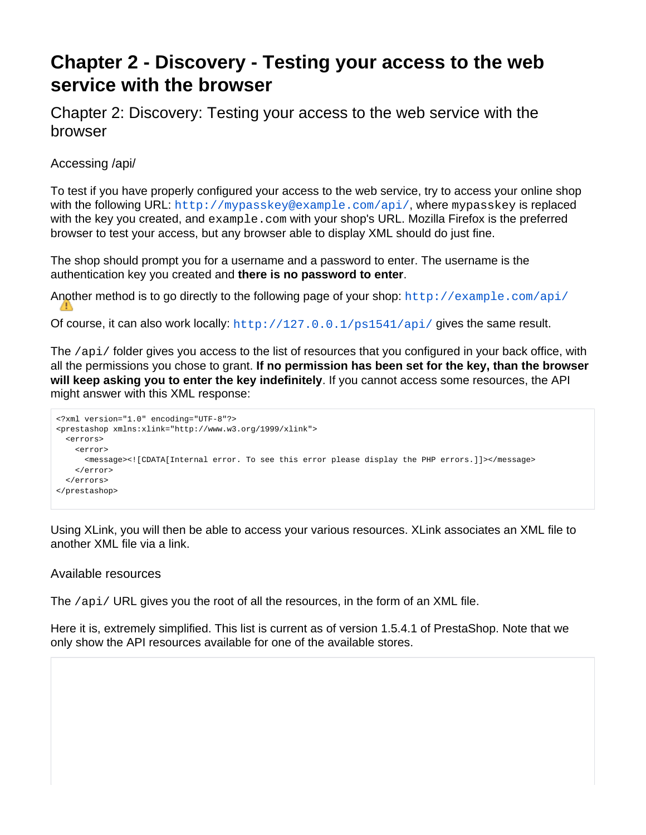# **Chapter 2 - Discovery - Testing your access to the web service with the browser**

Chapter 2: Discovery: Testing your access to the web service with the browser

Accessing /api/

To test if you have properly configured your access to the web service, try to access your online shop with the following URL: <http://mypasskey@example.com/api/>, where mypasskey is replaced with the key you created, and example.com with your shop's URL. Mozilla Firefox is the preferred browser to test your access, but any browser able to display XML should do just fine.

The shop should prompt you for a username and a password to enter. The username is the authentication key you created and **there is no password to enter**.

Another method is to go directly to the following page of your shop:  $h_{\text{t}}/e_{\text{Xample}}$ .  $\frac{1}{2}$ 

Of course, it can also work locally: <http://127.0.0.1/ps1541/api/> gives the same result.

The /api/ folder gives you access to the list of resources that you configured in your back office, with all the permissions you chose to grant. **If no permission has been set for the key, than the browser will keep asking you to enter the key indefinitely**. If you cannot access some resources, the API might answer with this XML response:

```
<?xml version="1.0" encoding="UTF-8"?>
<prestashop xmlns:xlink="http://www.w3.org/1999/xlink">
  <errors>
    <error>
      <message><![CDATA[Internal error. To see this error please display the PHP errors.]]></message>
    </error>
  </errors>
</prestashop>
```
Using XLink, you will then be able to access your various resources. XLink associates an XML file to another XML file via a link.

# Available resources

The /api/ URL gives you the root of all the resources, in the form of an XML file.

Here it is, extremely simplified. This list is current as of version 1.5.4.1 of PrestaShop. Note that we only show the API resources available for one of the available stores.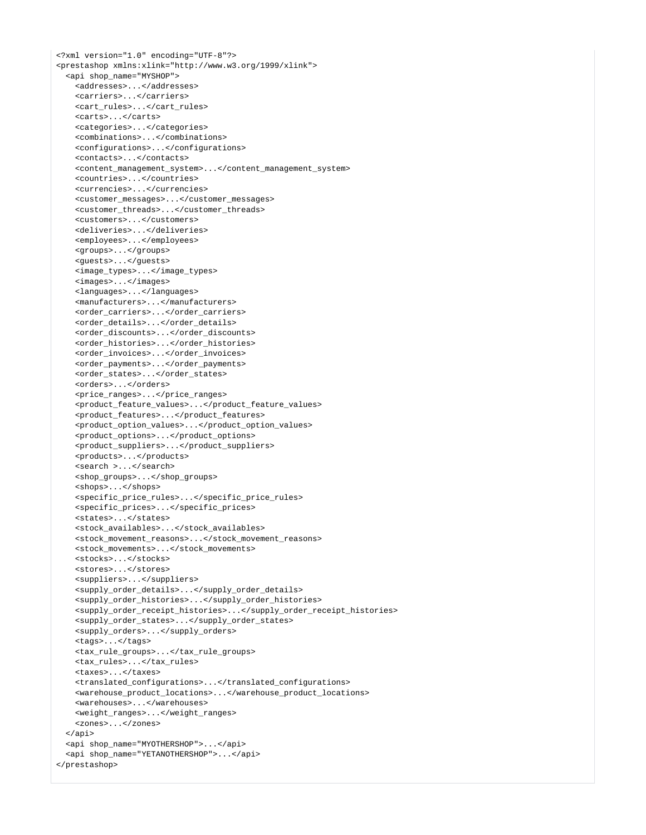<?xml version="1.0" encoding="UTF-8"?> <prestashop xmlns:xlink="http://www.w3.org/1999/xlink"> <api shop\_name="MYSHOP"> <addresses>...</addresses> <carriers>...</carriers> <cart\_rules>...</cart\_rules> <carts>...</carts> <categories>...</categories> <combinations>...</combinations> <configurations>...</configurations> <contacts>...</contacts> <content\_management\_system>...</content\_management\_system> <countries>...</countries> <currencies>...</currencies> <customer\_messages>...</customer\_messages> <customer\_threads>...</customer\_threads> <customers>...</customers> <deliveries>...</deliveries> <employees>...</employees> <groups>...</groups> <guests>...</guests> <image\_types>...</image\_types> <images>...</images> <languages>...</languages> <manufacturers>...</manufacturers> <order\_carriers>...</order\_carriers> <order\_details>...</order\_details> <order\_discounts>...</order\_discounts> <order\_histories>...</order\_histories> <order\_invoices>...</order\_invoices> <order\_payments>...</order\_payments> <order\_states>...</order\_states> <orders>...</orders> <price\_ranges>...</price\_ranges> <product\_feature\_values>...</product\_feature\_values> <product\_features>...</product\_features> <product\_option\_values>...</product\_option\_values> <product\_options>...</product\_options> <product\_suppliers>...</product\_suppliers> <products>...</products> <search >...</search> <shop\_groups>...</shop\_groups> <shops>...</shops> <specific\_price\_rules>...</specific\_price\_rules> <specific\_prices>...</specific\_prices> <states>...</states> <stock\_availables>...</stock\_availables> <stock\_movement\_reasons>...</stock\_movement\_reasons> <stock\_movements>...</stock\_movements> <stocks>...</stocks> <stores>...</stores> <suppliers>...</suppliers> <supply\_order\_details>...</supply\_order\_details> <supply\_order\_histories>...</supply\_order\_histories> <supply\_order\_receipt\_histories>...</supply\_order\_receipt\_histories> <supply\_order\_states>...</supply\_order\_states> <supply\_orders>...</supply\_orders> <tags>...</tags> <tax\_rule\_groups>...</tax\_rule\_groups> <tax\_rules>...</tax\_rules> <taxes>...</taxes> <translated\_configurations>...</translated\_configurations> <warehouse\_product\_locations>...</warehouse\_product\_locations> <warehouses>...</warehouses> <weight\_ranges>...</weight\_ranges> <zones>...</zones> </api> <api shop\_name="MYOTHERSHOP">...</api> <api shop\_name="YETANOTHERSHOP">...</api> </prestashop>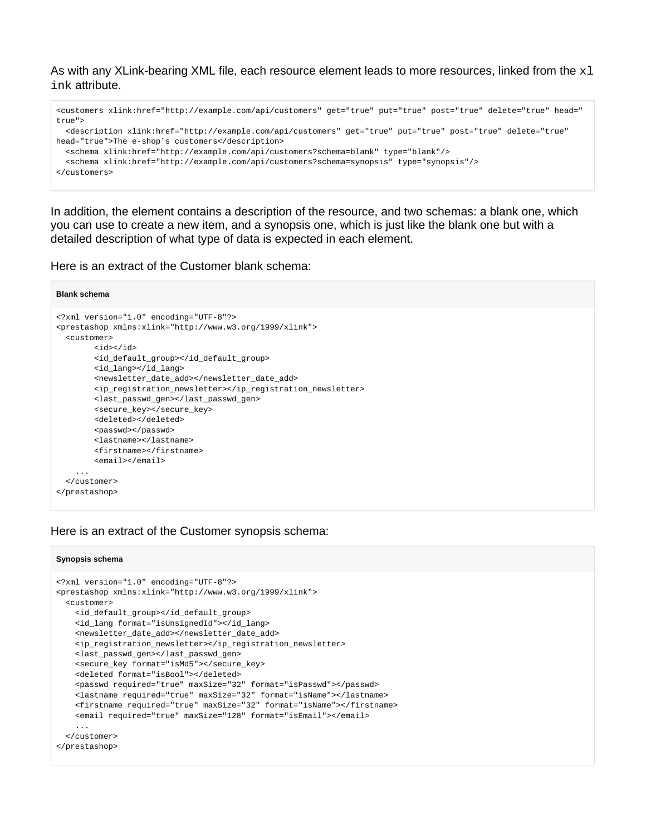As with any XLink-bearing XML file, each resource element leads to more resources, linked from the  $x1$ ink attribute.

```
<customers xlink:href="http://example.com/api/customers" get="true" put="true" post="true" delete="true" head="
true">
  <description xlink:href="http://example.com/api/customers" get="true" put="true" post="true" delete="true" 
head="true">The e-shop's customers</description>
  <schema xlink:href="http://example.com/api/customers?schema=blank" type="blank"/>
   <schema xlink:href="http://example.com/api/customers?schema=synopsis" type="synopsis"/>
</customers>
```
In addition, the element contains a description of the resource, and two schemas: a blank one, which you can use to create a new item, and a synopsis one, which is just like the blank one but with a detailed description of what type of data is expected in each element.

Here is an extract of the Customer blank schema:

```
Blank schema
<?xml version="1.0" encoding="UTF-8"?>
<prestashop xmlns:xlink="http://www.w3.org/1999/xlink">
  <customer>
        <id></id>
         <id_default_group></id_default_group>
         <id_lang></id_lang>
         <newsletter_date_add></newsletter_date_add>
         <ip_registration_newsletter></ip_registration_newsletter>
         <last_passwd_gen></last_passwd_gen>
         <secure_key></secure_key>
         <deleted></deleted>
        <passwd></passwd>
         <lastname></lastname>
         <firstname></firstname>
         <email></email>
     ...
   </customer>
</prestashop>
```
### Here is an extract of the Customer synopsis schema:

#### **Synopsis schema**

```
<?xml version="1.0" encoding="UTF-8"?>
<prestashop xmlns:xlink="http://www.w3.org/1999/xlink">
  <customer>
    <id_default_group></id_default_group>
    <id_lang format="isUnsignedId"></id_lang>
    <newsletter_date_add></newsletter_date_add>
    <ip_registration_newsletter></ip_registration_newsletter>
    <last_passwd_gen></last_passwd_gen>
    <secure_key format="isMd5"></secure_key>
    <deleted format="isBool"></deleted>
    <passwd required="true" maxSize="32" format="isPasswd"></passwd>
    <lastname required="true" maxSize="32" format="isName"></lastname>
    <firstname required="true" maxSize="32" format="isName"></firstname>
    <email required="true" maxSize="128" format="isEmail"></email>
     ...
  </customer>
</prestashop>
```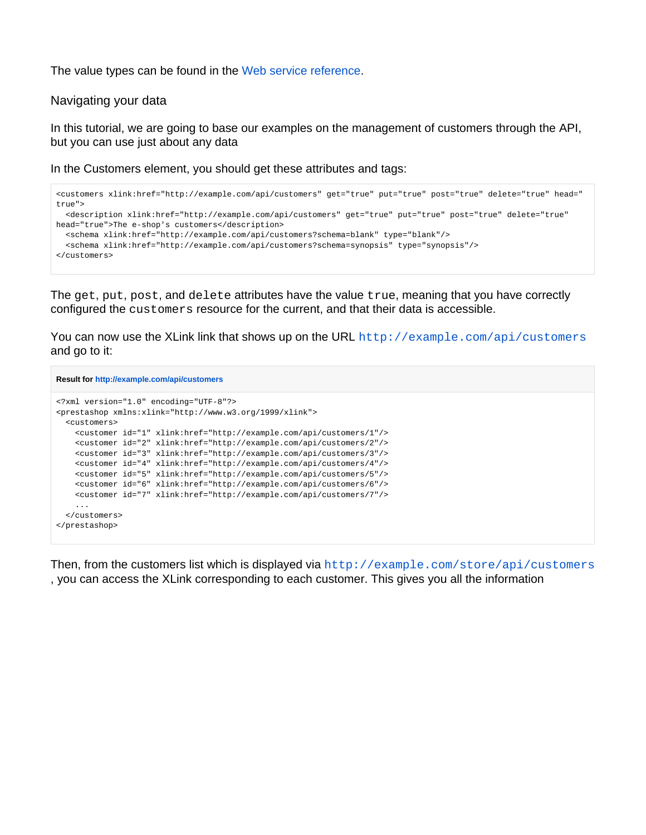The value types can be found in the [Web service reference.](https://doc.prestashop.com/display/PS15/Web+service+reference)

## Navigating your data

In this tutorial, we are going to base our examples on the management of customers through the API, but you can use just about any data

In the Customers element, you should get these attributes and tags:

```
<customers xlink:href="http://example.com/api/customers" get="true" put="true" post="true" delete="true" head="
true">
   <description xlink:href="http://example.com/api/customers" get="true" put="true" post="true" delete="true" 
head="true">The e-shop's customers</description>
  <schema xlink:href="http://example.com/api/customers?schema=blank" type="blank"/>
   <schema xlink:href="http://example.com/api/customers?schema=synopsis" type="synopsis"/>
</customers>
```
The get, put, post, and delete attributes have the value true, meaning that you have correctly configured the customers resource for the current, and that their data is accessible.

You can now use the XLink link that shows up on the URL <http://example.com/api/customers> and go to it:

```
Result for http://example.com/api/customers
<?xml version="1.0" encoding="UTF-8"?>
<prestashop xmlns:xlink="http://www.w3.org/1999/xlink">
  <customers>
    <customer id="1" xlink:href="http://example.com/api/customers/1"/>
    <customer id="2" xlink:href="http://example.com/api/customers/2"/>
    <customer id="3" xlink:href="http://example.com/api/customers/3"/>
    <customer id="4" xlink:href="http://example.com/api/customers/4"/>
    <customer id="5" xlink:href="http://example.com/api/customers/5"/>
    <customer id="6" xlink:href="http://example.com/api/customers/6"/>
    <customer id="7" xlink:href="http://example.com/api/customers/7"/>
     ...
  </customers>
</prestashop>
```
Then, from the customers list which is displayed via <http://example.com/store/api/customers> , you can access the XLink corresponding to each customer. This gives you all the information